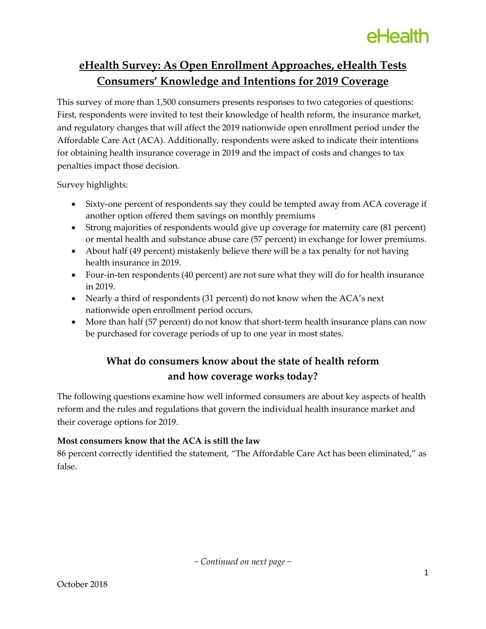## **eHealth Survey: As Open Enrollment Approaches, eHealth Tests Consumers' Knowledge and Intentions for 2019 Coverage**

This survey of more than 1,500 consumers presents responses to two categories of questions: First, respondents were invited to test their knowledge of health reform, the insurance market, and regulatory changes that will affect the 2019 nationwide open enrollment period under the Affordable Care Act (ACA). Additionally, respondents were asked to indicate their intentions for obtaining health insurance coverage in 2019 and the impact of costs and changes to tax penalties impact those decision.

Survey highlights:

- Sixty-one percent of respondents say they could be tempted away from ACA coverage if another option offered them savings on monthly premiums
- Strong majorities of respondents would give up coverage for maternity care (81 percent) or mental health and substance abuse care (57 percent) in exchange for lower premiums.
- About half (49 percent) mistakenly believe there will be a tax penalty for not having health insurance in 2019.
- Four-in-ten respondents (40 percent) are not sure what they will do for health insurance in 2019.
- Nearly a third of respondents (31 percent) do not know when the ACA's next nationwide open enrollment period occurs.
- More than half (57 percent) do not know that short-term health insurance plans can now be purchased for coverage periods of up to one year in most states.

## **What do consumers know about the state of health reform and how coverage works today?**

The following questions examine how well informed consumers are about key aspects of health reform and the rules and regulations that govern the individual health insurance market and their coverage options for 2019.

## **Most consumers know that the ACA is still the law**

86 percent correctly identified the statement, "The Affordable Care Act has been eliminated," as false.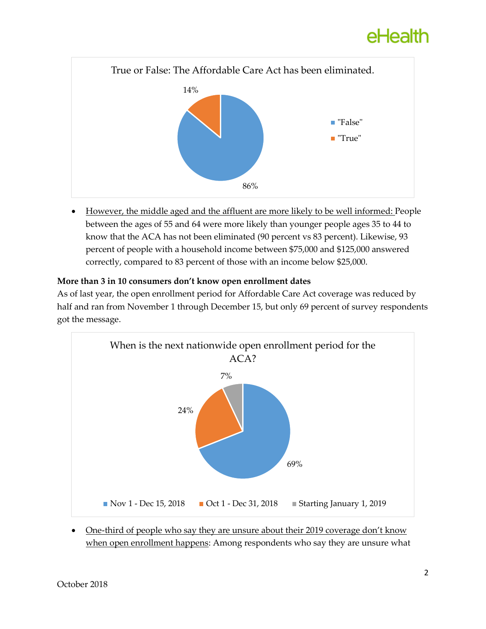

 However, the middle aged and the affluent are more likely to be well informed: People between the ages of 55 and 64 were more likely than younger people ages 35 to 44 to know that the ACA has not been eliminated (90 percent vs 83 percent). Likewise, 93 percent of people with a household income between \$75,000 and \$125,000 answered correctly, compared to 83 percent of those with an income below \$25,000.

#### **More than 3 in 10 consumers don't know open enrollment dates**

As of last year, the open enrollment period for Affordable Care Act coverage was reduced by half and ran from November 1 through December 15, but only 69 percent of survey respondents got the message.



 One-third of people who say they are unsure about their 2019 coverage don't know when open enrollment happens: Among respondents who say they are unsure what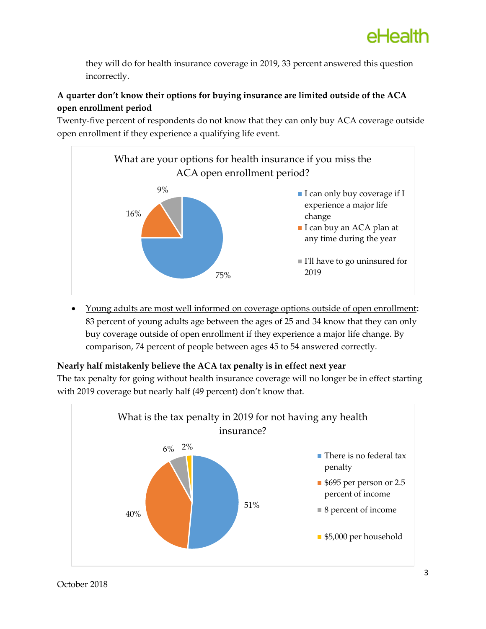they will do for health insurance coverage in 2019, 33 percent answered this question incorrectly.

## **A quarter don't know their options for buying insurance are limited outside of the ACA open enrollment period**

Twenty-five percent of respondents do not know that they can only buy ACA coverage outside open enrollment if they experience a qualifying life event.



 Young adults are most well informed on coverage options outside of open enrollment: 83 percent of young adults age between the ages of 25 and 34 know that they can only buy coverage outside of open enrollment if they experience a major life change. By comparison, 74 percent of people between ages 45 to 54 answered correctly.

## **Nearly half mistakenly believe the ACA tax penalty is in effect next year**

The tax penalty for going without health insurance coverage will no longer be in effect starting with 2019 coverage but nearly half (49 percent) don't know that.

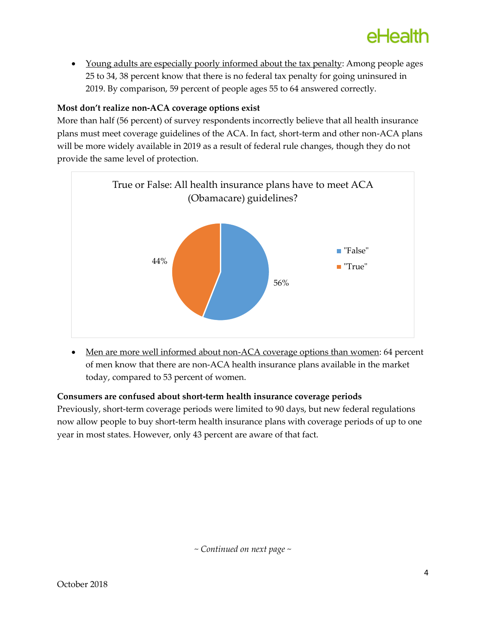• Young adults are especially poorly informed about the tax penalty: Among people ages 25 to 34, 38 percent know that there is no federal tax penalty for going uninsured in 2019. By comparison, 59 percent of people ages 55 to 64 answered correctly.

### **Most don't realize non-ACA coverage options exist**

More than half (56 percent) of survey respondents incorrectly believe that all health insurance plans must meet coverage guidelines of the ACA. In fact, short-term and other non-ACA plans will be more widely available in 2019 as a result of federal rule changes, though they do not provide the same level of protection.



• Men are more well informed about non-ACA coverage options than women: 64 percent of men know that there are non-ACA health insurance plans available in the market today, compared to 53 percent of women.

#### **Consumers are confused about short-term health insurance coverage periods**

Previously, short-term coverage periods were limited to 90 days, but new federal regulations now allow people to buy short-term health insurance plans with coverage periods of up to one year in most states. However, only 43 percent are aware of that fact.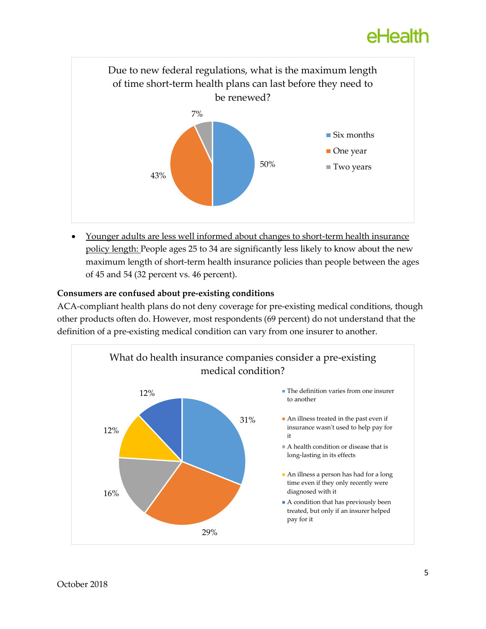

 Younger adults are less well informed about changes to short-term health insurance policy length: People ages 25 to 34 are significantly less likely to know about the new maximum length of short-term health insurance policies than people between the ages of 45 and 54 (32 percent vs. 46 percent).

### **Consumers are confused about pre-existing conditions**

ACA-compliant health plans do not deny coverage for pre-existing medical conditions, though other products often do. However, most respondents (69 percent) do not understand that the definition of a pre-existing medical condition can vary from one insurer to another.

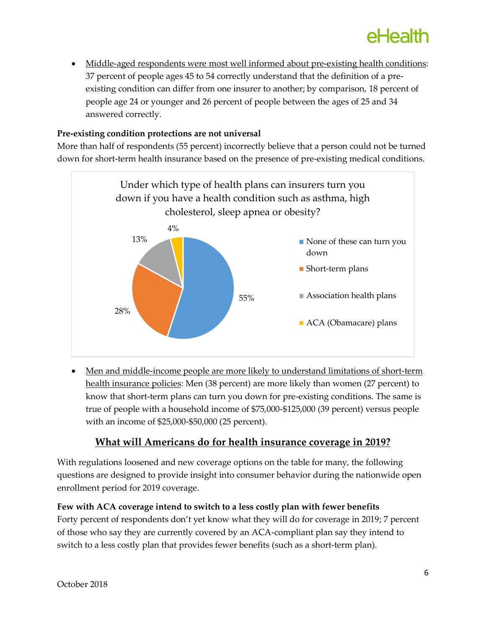Middle-aged respondents were most well informed about pre-existing health conditions: 37 percent of people ages 45 to 54 correctly understand that the definition of a preexisting condition can differ from one insurer to another; by comparison, 18 percent of people age 24 or younger and 26 percent of people between the ages of 25 and 34 answered correctly.

### **Pre-existing condition protections are not universal**

More than half of respondents (55 percent) incorrectly believe that a person could not be turned down for short-term health insurance based on the presence of pre-existing medical conditions.



 Men and middle-income people are more likely to understand limitations of short-term health insurance policies: Men (38 percent) are more likely than women (27 percent) to know that short-term plans can turn you down for pre-existing conditions. The same is true of people with a household income of \$75,000-\$125,000 (39 percent) versus people with an income of \$25,000-\$50,000 (25 percent).

## **What will Americans do for health insurance coverage in 2019?**

With regulations loosened and new coverage options on the table for many, the following questions are designed to provide insight into consumer behavior during the nationwide open enrollment period for 2019 coverage.

#### **Few with ACA coverage intend to switch to a less costly plan with fewer benefits**

Forty percent of respondents don't yet know what they will do for coverage in 2019; 7 percent of those who say they are currently covered by an ACA-compliant plan say they intend to switch to a less costly plan that provides fewer benefits (such as a short-term plan).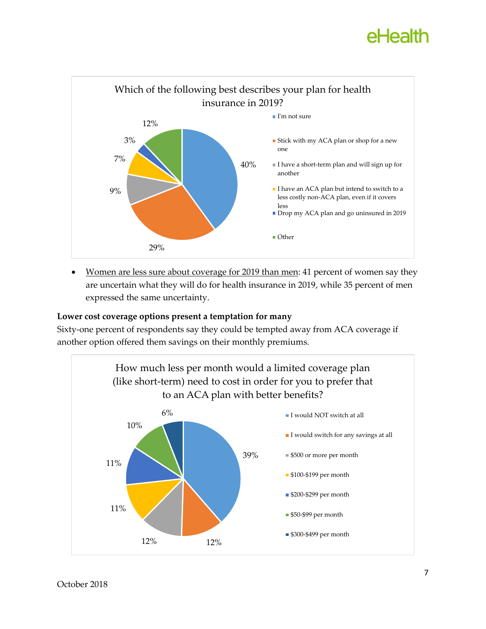

• Women are less sure about coverage for 2019 than men: 41 percent of women say they are uncertain what they will do for health insurance in 2019, while 35 percent of men expressed the same uncertainty.

#### **Lower cost coverage options present a temptation for many**

Sixty-one percent of respondents say they could be tempted away from ACA coverage if another option offered them savings on their monthly premiums.

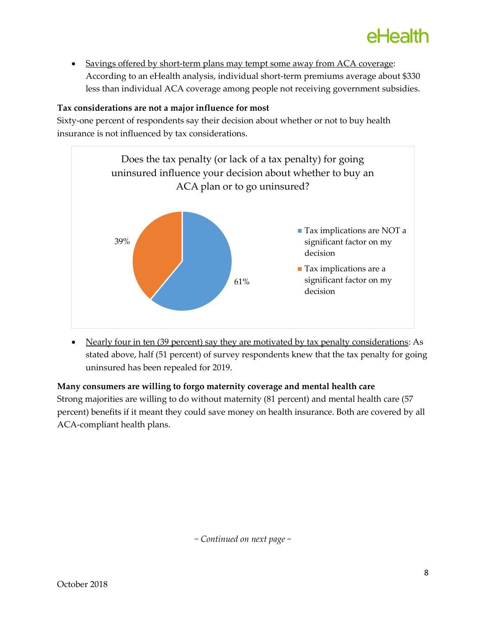

 Savings offered by short-term plans may tempt some away from ACA coverage: According to an eHealth analysis, individual short-term premiums average about \$330 less than individual ACA coverage among people not receiving government subsidies.

#### **Tax considerations are not a major influence for most**

Sixty-one percent of respondents say their decision about whether or not to buy health insurance is not influenced by tax considerations.



• Nearly four in ten (39 percent) say they are motivated by tax penalty considerations: As stated above, half (51 percent) of survey respondents knew that the tax penalty for going uninsured has been repealed for 2019.

#### **Many consumers are willing to forgo maternity coverage and mental health care**

Strong majorities are willing to do without maternity (81 percent) and mental health care (57 percent) benefits if it meant they could save money on health insurance. Both are covered by all ACA-compliant health plans.

*~ Continued on next page ~*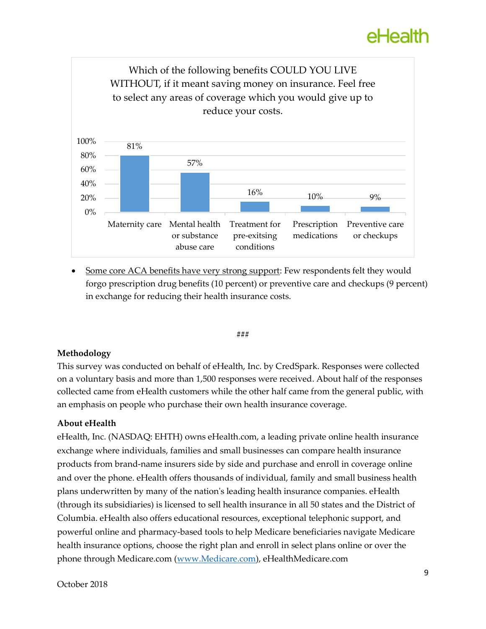

 Some core ACA benefits have very strong support: Few respondents felt they would forgo prescription drug benefits (10 percent) or preventive care and checkups (9 percent) in exchange for reducing their health insurance costs.

#### **###**

#### **Methodology**

This survey was conducted on behalf of eHealth, Inc. by CredSpark. Responses were collected on a voluntary basis and more than 1,500 responses were received. About half of the responses collected came from eHealth customers while the other half came from the general public, with an emphasis on people who purchase their own health insurance coverage.

#### **About eHealth**

eHealth, Inc. (NASDAQ: EHTH) owns eHealth.com, a leading private online health insurance exchange where individuals, families and small businesses can compare health insurance products from brand-name insurers side by side and purchase and enroll in coverage online and over the phone. eHealth offers thousands of individual, family and small business health plans underwritten by many of the nation's leading health insurance companies. eHealth (through its subsidiaries) is licensed to sell health insurance in all 50 states and the District of Columbia. eHealth also offers educational resources, exceptional telephonic support, and powerful online and pharmacy-based tools to help Medicare beneficiaries navigate Medicare health insurance options, choose the right plan and enroll in select plans online or over the phone through Medicare.com [\(www.Medicare.com\)](http://www.medicare.com/), eHealthMedicare.com